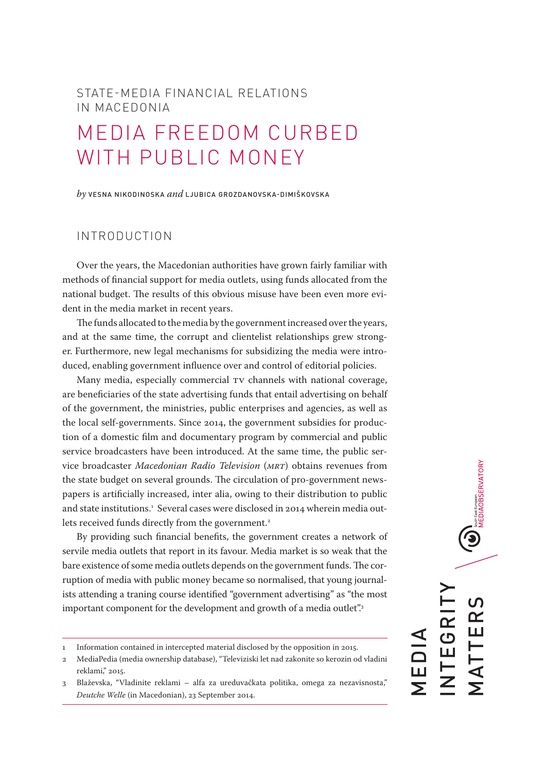## STATE-MEDIA FINANCIAL RELATIONS IN MACEDONIA

## MEDIA FREEDOM CURBED WITH PUBLIC MONEY

*by* VESNA NIKODINOSKA *and* LJUBICA GROZDANOVSKA-DIMIŠKOVSKA

## INTRODUCTION

Over the years, the Macedonian authorities have grown fairly familiar with methods of financial support for media outlets, using funds allocated from the national budget. The results of this obvious misuse have been even more evident in the media market in recent years.

The funds allocated to the media by the government increased over the years, and at the same time, the corrupt and clientelist relationships grew stronger. Furthermore, new legal mechanisms for subsidizing the media were introduced, enabling government influence over and control of editorial policies.

Many media, especially commercial TV channels with national coverage, are beneficiaries of the state advertising funds that entail advertising on behalf of the government, the ministries, public enterprises and agencies, as well as the local self-governments. Since 2014, the government subsidies for production of a domestic film and documentary program by commercial and public service broadcasters have been introduced. At the same time, the public service broadcaster *Macedonian Radio Television* (*MRT*) obtains revenues from the state budget on several grounds. The circulation of pro-government newspapers is artificially increased, inter alia, owing to their distribution to public and state institutions.<sup>1</sup> Several cases were disclosed in 2014 wherein media outlets received funds directly from the government.<sup>2</sup>

By providing such financial benefits, the government creates a network of servile media outlets that report in its favour. Media market is so weak that the bare existence of some media outlets depends on the government funds. The corruption of media with public money became so normalised, that young journalists attending a traning course identified "government advertising" as "the most important component for the development and growth of a media outlet".<sup>3</sup>

**U** INTEGRITY MATTERS **EGRI TTER** MEDIA —<br>Г<br>Г

<sup>1</sup> Information contained in intercepted material disclosed by the opposition in 2015.

<sup>2</sup> MediaPedia (media ownership database), "Televiziski let nad zakonite so kerozin od vladini reklami," 2015.

<sup>3</sup> Blaževska, "Vladinite reklami – alfa za ureduvačkata politika, omega za nezavisnosta," *Deutche Welle* (in Macedonian), 23 September 2014.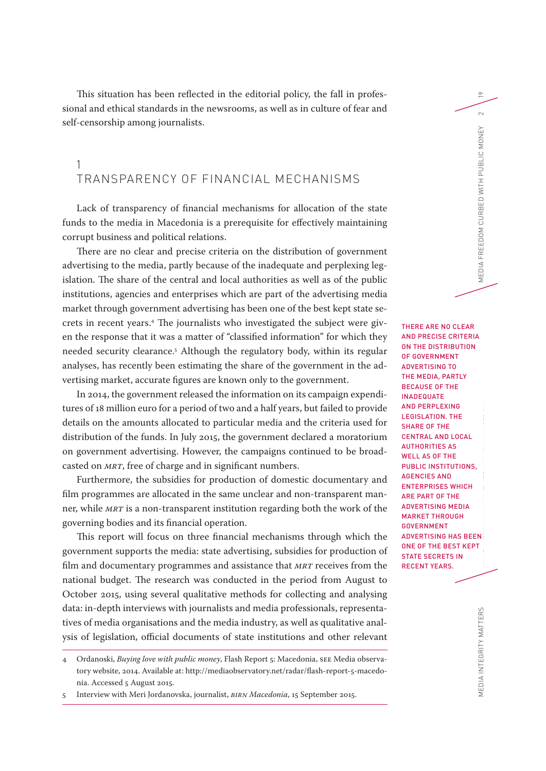This situation has been reflected in the editorial policy, the fall in professional and ethical standards in the newsrooms, as well as in culture of fear and self-censorship among journalists.

## 1 TRANSPARENCY OF FINANCIAL MECHANISMS

Lack of transparency of financial mechanisms for allocation of the state funds to the media in Macedonia is a prerequisite for effectively maintaining corrupt business and political relations.

There are no clear and precise criteria on the distribution of government advertising to the media, partly because of the inadequate and perplexing legislation. The share of the central and local authorities as well as of the public institutions, agencies and enterprises which are part of the advertising media market through government advertising has been one of the best kept state secrets in recent years.4 The journalists who investigated the subject were given the response that it was a matter of "classified information" for which they needed security clearance.5 Although the regulatory body, within its regular analyses, has recently been estimating the share of the government in the advertising market, accurate figures are known only to the government.

In 2014, the government released the information on its campaign expenditures of 18 million euro for a period of two and a half years, but failed to provide details on the amounts allocated to particular media and the criteria used for distribution of the funds. In July 2015, the government declared a moratorium on government advertising. However, the campaigns continued to be broadcasted on *MRT*, free of charge and in significant numbers.

Furthermore, the subsidies for production of domestic documentary and film programmes are allocated in the same unclear and non-transparent manner, while *MRT* is a non-transparent institution regarding both the work of the governing bodies and its financial operation.

This report will focus on three financial mechanisms through which the government supports the media: state advertising, subsidies for production of film and documentary programmes and assistance that *MRT* receives from the national budget. The research was conducted in the period from August to October 2015, using several qualitative methods for collecting and analysing data: in-depth interviews with journalists and media professionals, representatives of media organisations and the media industry, as well as qualitative analysis of legislation, official documents of state institutions and other relevant

5 Interview with Meri Jordanovska, journalist, *BIRN Macedonia*, 15 September 2015.

MEDIA INTEGRITY MATTERS STATE-MEDIA FINANCIAL RELATIONS IN MACEDONIC MEDIA IN MEDIA IN MEDIA IN MENINONICURBED WITH PUBLIC MONEY 2 THERE ARE NO CLEAR AND PRECISE CRITERIA ON THE DISTRIBUTION OF GOVERNMENT ADVERTISING TO THE MEDIA, PARTLY BECAUSE OF THE INADEQUATE AND PERPLEXING LEGISLATION. THE SHARE OF THE CENTRAL AND LOCAL AUTHORITIES AS WELL AS OF THE PUBLIC INSTITUTIONS, AGENCIES AND ENTERPRISES WHICH ARE PART OF THE ADVERTISING MEDIA MARKET THROUGH GOVERNMENT ADVERTISING HAS BEEN ONE OF THE BEST KEPT STATE SECRETS IN RECENT YEARS.

19

 $\sim$  $\widetilde{\Xi}$ 

<sup>4</sup> Ordanoski, *Buying love with public money*, Flash Report 5: Macedonia, SEE Media observatory website, 2014. Available at: http://mediaobservatory.net/radar/flash-report-5-macedonia. Accessed 5 August 2015.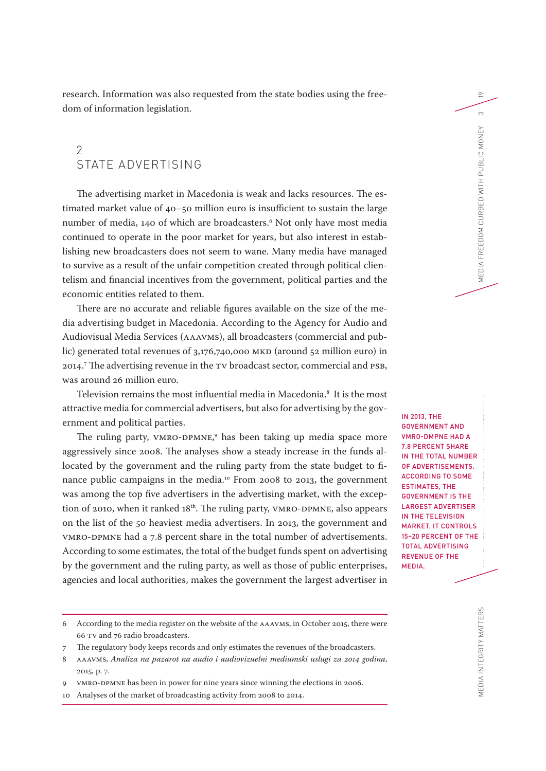research. Information was also requested from the state bodies using the freedom of information legislation.

## 2 STATE ADVERTISING

The advertising market in Macedonia is weak and lacks resources. The estimated market value of 40–50 million euro is insufficient to sustain the large number of media, 140 of which are broadcasters.6 Not only have most media continued to operate in the poor market for years, but also interest in establishing new broadcasters does not seem to wane. Many media have managed to survive as a result of the unfair competition created through political clientelism and financial incentives from the government, political parties and the economic entities related to them.

There are no accurate and reliable figures available on the size of the media advertising budget in Macedonia. According to the Agency for Audio and Audiovisual Media Services (AAAVMS), all broadcasters (commercial and public) generated total revenues of 3,176,740,000 MKD (around 52 million euro) in 2014.7 The advertising revenue in the TV broadcast sector, commercial and PSB, was around 26 million euro.

Television remains the most influential media in Macedonia.8 It is the most attractive media for commercial advertisers, but also for advertising by the government and political parties.

The ruling party, VMRO-DPMNE, 9 has been taking up media space more aggressively since 2008. The analyses show a steady increase in the funds allocated by the government and the ruling party from the state budget to finance public campaigns in the media.10 From 2008 to 2013, the government was among the top five advertisers in the advertising market, with the exception of 2010, when it ranked 18<sup>th</sup>. The ruling party, VMRO-DPMNE, also appears on the list of the 50 heaviest media advertisers. In 2013, the government and VMRO-DPMNE had a 7.8 percent share in the total number of advertisements. According to some estimates, the total of the budget funds spent on advertising by the government and the ruling party, as well as those of public enterprises, agencies and local authorities, makes the government the largest advertiser in VMRO-DMPNE HAD A 7.8 PERCENT SHARE IN THE TOTAL NUMBER OF ADVERTISEMENTS. ACCORDING TO SOME ESTIMATES, THE GOVERNMENT IS THE LARGEST ADVERTISER IN THE TELEVISION MARKET. IT CONTROLS 15–20 PERCENT OF THE TOTAL ADVERTISING REVENUE OF THE MEDIA.

IN 2013, THE GOVERNMENT AND

7 The regulatory body keeps records and only estimates the revenues of the broadcasters.

19

 $\infty$  $\widetilde{\Xi}$ 

<sup>6</sup> According to the media register on the website of the AAAVMS, in October 2015, there were 66 TV and 76 radio broadcasters.

<sup>8</sup> AAAVMS, *Analiza na pazarot na audio i audiovizuelni mediumski uslugi za 2014 godina*, 2015, p. 7.

<sup>9</sup> VMRO-DPMNE has been in power for nine years since winning the elections in 2006.

<sup>10</sup> Analyses of the market of broadcasting activity from 2008 to 2014.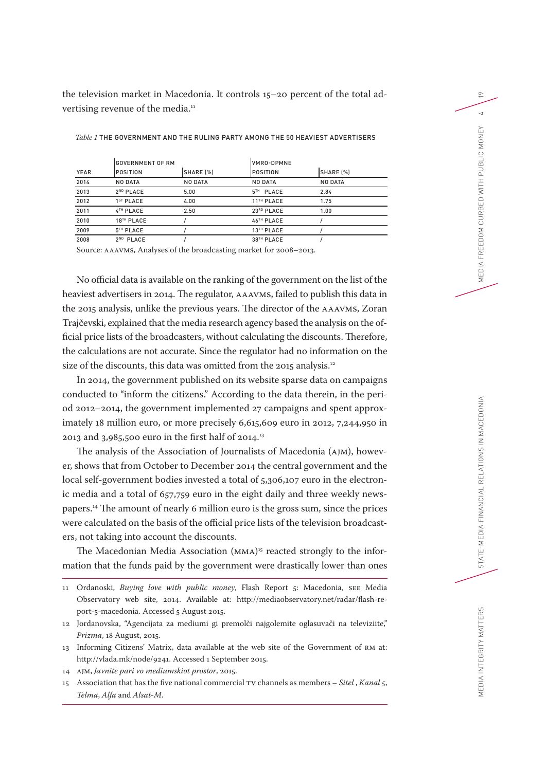the television market in Macedonia. It controls 15–20 percent of the total advertising revenue of the media.<sup>11</sup>

|      | GOVERNMENT OF RM      |           | IVMRO-DPMNE            |           |  |  |
|------|-----------------------|-----------|------------------------|-----------|--|--|
| YEAR | POSITION              | SHARE [%] | POSITION               | SHARE (%) |  |  |
| 2014 | NO DATA               | NO DATA   | NO DATA                | NO DATA   |  |  |
| 2013 | 2 <sup>ND</sup> PLACE | 5.00      | 5 <sup>TH</sup> PLACE  | 2.84      |  |  |
| 2012 | 1 <sup>ST</sup> PLACE | 4.00      | 11 <sup>TH</sup> PLACE | 1.75      |  |  |
| 2011 | 4TH PLACE             | 2.50      | 23RD PLACE             | 1.00      |  |  |
| 2010 | 18TH PLACE            |           | 46TH PLACE             |           |  |  |
| 2009 | 5TH PLACE             |           | 13TH PLACE             |           |  |  |
| 2008 | 2 <sup>ND</sup> PLACE |           | 38TH PLACE             |           |  |  |

*Table 1* THE GOVERNMENT AND THE RULING PARTY AMONG THE 50 HEAVIEST ADVERTISERS

Source: AAAVMS, Analyses of the broadcasting market for 2008–2013.

No official data is available on the ranking of the government on the list of the heaviest advertisers in 2014. The regulator, AAAVMS, failed to publish this data in the 2015 analysis, unlike the previous years. The director of the AAAVMS, Zoran Trajčevski, explained that the media research agency based the analysis on the official price lists of the broadcasters, without calculating the discounts. Therefore, the calculations are not accurate. Since the regulator had no information on the size of the discounts, this data was omitted from the 2015 analysis.<sup>12</sup>

In 2014, the government published on its website sparse data on campaigns conducted to "inform the citizens." According to the data therein, in the period 2012–2014, the government implemented 27 campaigns and spent approximately 18 million euro, or more precisely 6,615,609 euro in 2012, 7,244,950 in 2013 and 3,985,500 euro in the first half of 2014.13

The analysis of the Association of Journalists of Macedonia (AJM), however, shows that from October to December 2014 the central government and the local self-government bodies invested a total of 5,306,107 euro in the electronic media and a total of 657,759 euro in the eight daily and three weekly newspapers.14 The amount of nearly 6 million euro is the gross sum, since the prices were calculated on the basis of the official price lists of the television broadcasters, not taking into account the discounts.

The Macedonian Media Association (MMA) 15 reacted strongly to the information that the funds paid by the government were drastically lower than ones

- 11 Ordanoski, *Buying love with public money*, Flash Report 5: Macedonia, SEE Media Observatory web site, 2014. Available at: http://mediaobservatory.net/radar/flash-report-5-macedonia. Accessed 5 August 2015.
- 12 Jordanovska, "Agencijata za mediumi gi premolči najgolemite oglasuvači na televiziite," *Prizma*, 18 August, 2015.
- 13 Informing Citizens' Matrix, data available at the web site of the Government of RM at: http://vlada.mk/node/9241. Accessed 1 September 2015.
- 14 AJM, *Javnite pari vo mediumskiot prostor*, 2015.
- 15 Association that has the five national commercial TV channels as members *Sitel* , *Kanal 5*, *Telma*, *Alfa* and *Alsat-M*.

MEDIA INTEGRITY MATTERS

19

 $\overline{4}$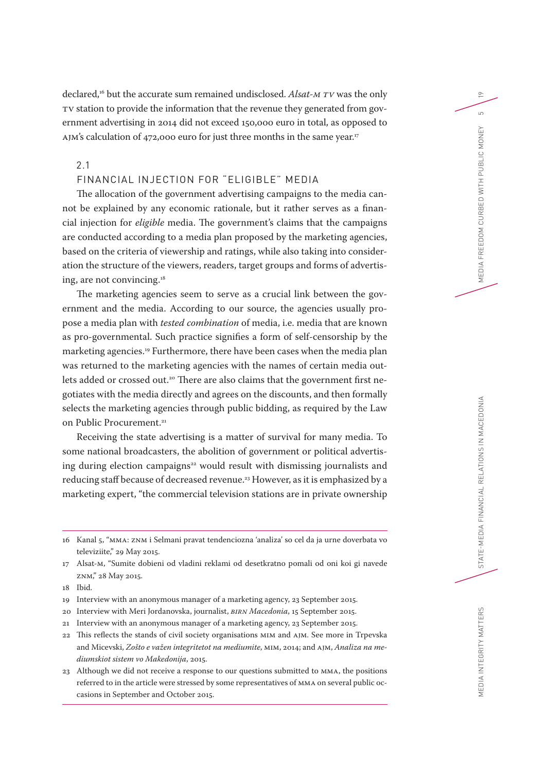declared, 16 but the accurate sum remained undisclosed. *Alsat-M TV* was the only TV station to provide the information that the revenue they generated from government advertising in 2014 did not exceed 150,000 euro in total, as opposed to AJM's calculation of 472,000 euro for just three months in the same year.<sup>17</sup>

2.1

### FINANCIAL INJECTION FOR "ELIGIBLE" MEDIA

The allocation of the government advertising campaigns to the media cannot be explained by any economic rationale, but it rather serves as a financial injection for *eligible* media. The government's claims that the campaigns are conducted according to a media plan proposed by the marketing agencies, based on the criteria of viewership and ratings, while also taking into consideration the structure of the viewers, readers, target groups and forms of advertising, are not convincing.18

The marketing agencies seem to serve as a crucial link between the government and the media. According to our source, the agencies usually propose a media plan with *tested combination* of media, i.e. media that are known as pro-governmental. Such practice signifies a form of self-censorship by the marketing agencies.19 Furthermore, there have been cases when the media plan was returned to the marketing agencies with the names of certain media outlets added or crossed out.<sup>20</sup> There are also claims that the government first negotiates with the media directly and agrees on the discounts, and then formally selects the marketing agencies through public bidding, as required by the Law on Public Procurement.<sup>21</sup>

Receiving the state advertising is a matter of survival for many media. To some national broadcasters, the abolition of government or political advertising during election campaigns<sup>22</sup> would result with dismissing journalists and reducing staff because of decreased revenue.23 However, as it is emphasized by a marketing expert, "the commercial television stations are in private ownership

18 Ibid.

- 20 Interview with Meri Jordanovska, journalist, *BIRN Macedonia*, 15 September 2015.
- 21 Interview with an anonymous manager of a marketing agency, 23 September 2015.
- 22 This reflects the stands of civil society organisations MIM and AJM. See more in Trpevska and Micevski, *Zošto e važen integritetot na mediumite*, MIM, 2014; and AJM, *Analiza na mediumskiot sistem vo Makedonija*, 2015.
- 23 Although we did not receive a response to our questions submitted to MMA, the positions referred to in the article were stressed by some representatives of MMA on several public occasions in September and October 2015.

EDIA INTEGRITY MATTERS

19

 $\overline{a}$ ΙĚΥ

<sup>16</sup> Kanal 5, "MMA: ZNM i Selmani pravat tendenciozna 'analiza' so cel da ja urne doverbata vo televiziite," 29 May 2015.

<sup>17</sup> Alsat-M, "Sumite dobieni od vladini reklami od desetkratno pomali od oni koi gi navede ZNM," 28 May 2015.

<sup>19</sup> Interview with an anonymous manager of a marketing agency, 23 September 2015.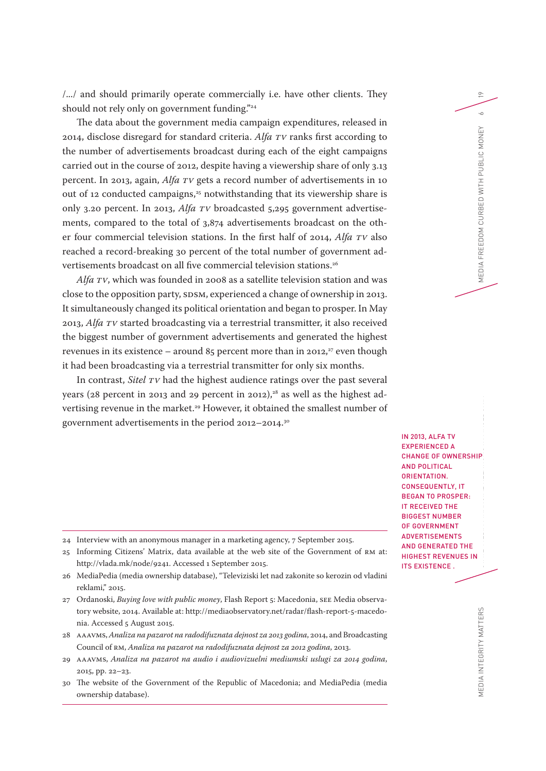/.../ and should primarily operate commercially i.e. have other clients. They should not rely only on government funding."<sup>24</sup>

The data about the government media campaign expenditures, released in 2014, disclose disregard for standard criteria. *Alfa TV* ranks first according to the number of advertisements broadcast during each of the eight campaigns carried out in the course of 2012, despite having a viewership share of only 3.13 percent. In 2013, again, *Alfa TV* gets a record number of advertisements in 10 out of 12 conducted campaigns,<sup>25</sup> notwithstanding that its viewership share is only 3.20 percent. In 2013, *Alfa TV* broadcasted 5,295 government advertisements, compared to the total of 3,874 advertisements broadcast on the other four commercial television stations. In the first half of 2014, *Alfa TV* also reached a record-breaking 30 percent of the total number of government advertisements broadcast on all five commercial television stations.26

*Alfa TV*, which was founded in 2008 as a satellite television station and was close to the opposition party, SDSM, experienced a change of ownership in 2013. It simultaneously changed its political orientation and began to prosper. In May 2013, *Alfa TV* started broadcasting via a terrestrial transmitter, it also received the biggest number of government advertisements and generated the highest revenues in its existence – around  $85$  percent more than in 2012,<sup>27</sup> even though it had been broadcasting via a terrestrial transmitter for only six months.

In contrast, *Sitel TV* had the highest audience ratings over the past several years (28 percent in 2013 and 29 percent in 2012),<sup>28</sup> as well as the highest advertising revenue in the market.<sup>29</sup> However, it obtained the smallest number of government advertisements in the period 2012–2014.30

- 24 Interview with an anonymous manager in a marketing agency, 7 September 2015.
- 25 Informing Citizens' Matrix, data available at the web site of the Government of RM at: http://vlada.mk/node/9241. Accessed 1 September 2015.
- 26 MediaPedia (media ownership database), "Televiziski let nad zakonite so kerozin od vladini reklami," 2015.
- 27 Ordanoski, *Buying love with public money*, Flash Report 5: Macedonia, SEE Media observatory website, 2014. Available at: http://mediaobservatory.net/radar/flash-report-5-macedonia. Accessed 5 August 2015.
- 28 AAAVMS, *Analiza na pazarot na radodifuznata dejnost za 2013 godina*, 2014, and Broadcasting Council of RM, *Analiza na pazarot na radodifuznata dejnost za 2012 godina*, 2013.
- 29 AAAVMS, *Analiza na pazarot na audio i audiovizuelni mediumski uslugi za 2014 godina*, 2015, pp. 22–23.
- 30 The website of the Government of the Republic of Macedonia; and MediaPedia (media ownership database).

MEDIA INTEGRITY MATTERS STATE-MEDIA FINANCIAL RELATIONS IN MACEDONIC DELLA FINANCIAL RELATIONIC MONEY STATE PUBLIC MONEY 6 IN 2013, ALFA TV EXPERIENCED A CHANGE OF OWNERSHIP AND POLITICAL ORIENTATION. CONSEQUENTLY, IT BEGAN TO PROSPER: IT RECEIVED THE BIGGEST NUMBER OF GOVERNMENT ADVERTISEMENTS AND GENERATED THE HIGHEST REVENUES IN ITS EXISTENCE .

19

 $\sim$  $\widetilde{\Xi}$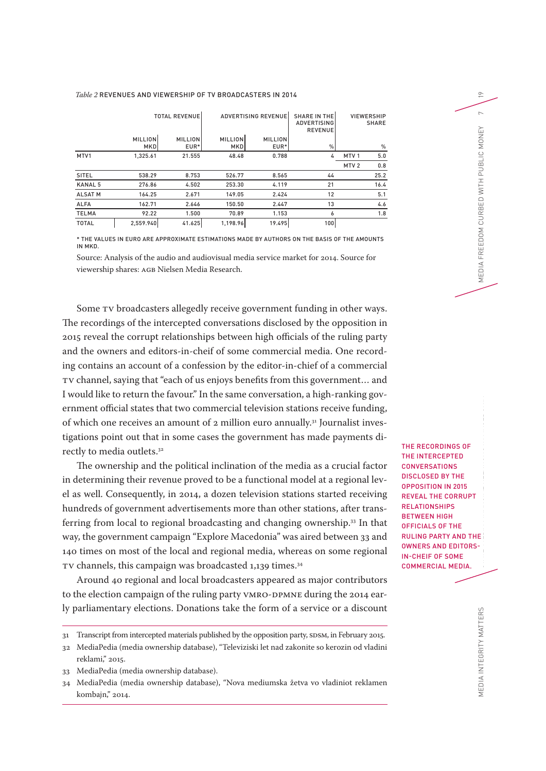#### *Table 2* REVENUES AND VIEWERSHIP OF TV BROADCASTERS IN 2014

|                | <b>TOTAL REVENUE</b>         |                        | <b>ADVERTISING REVENUE</b> |                        | <b>SHARE IN THE</b><br><b>ADVERTISING</b><br><b>REVENUE</b> | <b>VIEWERSHIP</b><br><b>SHARE</b> |      |
|----------------|------------------------------|------------------------|----------------------------|------------------------|-------------------------------------------------------------|-----------------------------------|------|
|                | <b>MILLION</b><br><b>MKD</b> | <b>MILLION</b><br>EUR* | <b>MILLION</b><br>MKD      | <b>MILLION</b><br>EUR* | %                                                           |                                   | $\%$ |
| MTV1           | 1,325.61                     | 21.555                 | 48.48                      | 0.788                  | 4                                                           | MTV <sub>1</sub>                  | 5.0  |
|                |                              |                        |                            |                        |                                                             | MTV <sub>2</sub>                  | 0.8  |
| <b>SITEL</b>   | 538.29                       | 8.753                  | 526.77                     | 8.565                  | 44                                                          |                                   | 25.2 |
| <b>KANAL 5</b> | 276.86                       | 4.502                  | 253.30                     | 4.119                  | 21                                                          |                                   | 16.4 |
| <b>ALSAT M</b> | 164.25                       | 2.671                  | 149.05                     | 2.424                  | 12                                                          |                                   | 5.1  |
| <b>ALFA</b>    | 162.71                       | 2.646                  | 150.50                     | 2.447                  | 13                                                          |                                   | 4.6  |
| <b>TELMA</b>   | 92.22                        | 1.500                  | 70.89                      | 1.153                  | 6                                                           |                                   | 1.8  |
| <b>TOTAL</b>   | 2,559.940                    | 41.625                 | 1,198.96                   | 19.495                 | 100                                                         |                                   |      |

\* THE VALUES IN EURO ARE APPROXIMATE ESTIMATIONS MADE BY AUTHORS ON THE BASIS OF THE AMOUNTS IN MKD.

Source: Analysis of the audio and audiovisual media service market for 2014. Source for viewership shares: AGB Nielsen Media Research.

Some TV broadcasters allegedly receive government funding in other ways. The recordings of the intercepted conversations disclosed by the opposition in 2015 reveal the corrupt relationships between high officials of the ruling party and the owners and editors-in-cheif of some commercial media. One recording contains an account of a confession by the editor-in-chief of a commercial TV channel, saying that "each of us enjoys benefits from this government… and I would like to return the favour." In the same conversation, a high-ranking government official states that two commercial television stations receive funding, of which one receives an amount of 2 million euro annually.<sup>31</sup> Journalist investigations point out that in some cases the government has made payments directly to media outlets.<sup>32</sup>

The ownership and the political inclination of the media as a crucial factor in determining their revenue proved to be a functional model at a regional level as well. Consequently, in 2014, a dozen television stations started receiving hundreds of government advertisements more than other stations, after transferring from local to regional broadcasting and changing ownership.33 In that way, the government campaign "Explore Macedonia" was aired between 33 and 140 times on most of the local and regional media, whereas on some regional TV channels, this campaign was broadcasted 1,139 times.<sup>34</sup>

Around 40 regional and local broadcasters appeared as major contributors to the election campaign of the ruling party VMRO-DPMNE during the 2014 early parliamentary elections. Donations take the form of a service or a discount THE RECORDINGS OF THE INTERCEPTED CONVERSATIONS DISCLOSED BY THE OPPOSITION IN 2015 REVEAL THE CORRUPT **RELATIONSHIPS** BETWEEN HIGH OFFICIALS OF THE RULING PARTY AND THE OWNERS AND EDITORS-IN-CHEIF OF SOME COMMERCIAL MEDIA.

19

 $\sim$ 

<sup>31</sup> Transcript from intercepted materials published by the opposition party, SDSM, in February 2015.

<sup>32</sup> MediaPedia (media ownership database), "Televiziski let nad zakonite so kerozin od vladini reklami," 2015.

<sup>33</sup> MediaPedia (media ownership database).

<sup>34</sup> MediaPedia (media ownership database), "Nova mediumska žetva vo vladiniot reklamen kombajn," 2014.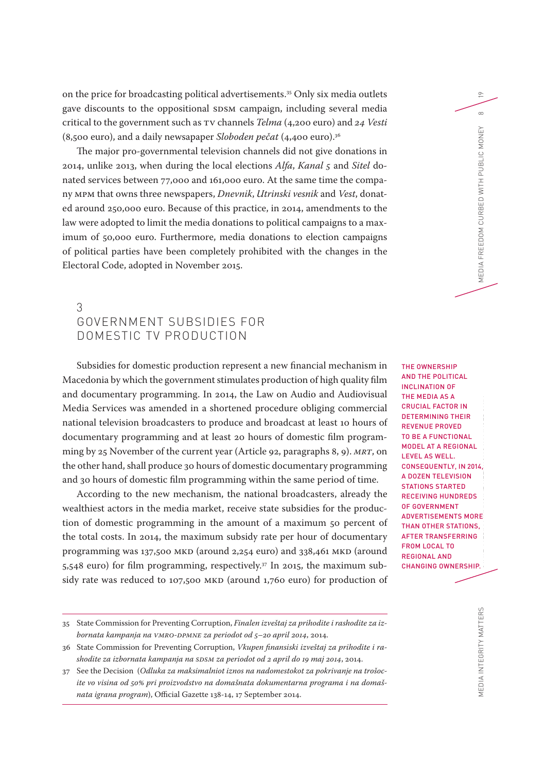on the price for broadcasting political advertisements. 35 Only six media outlets gave discounts to the oppositional SDSM campaign, including several media critical to the government such as TV channels *Telma* (4,200 euro) and *24 Vesti* (8,500 euro), and a daily newsapaper *Sloboden pečat* (4,400 euro).36

The major pro-governmental television channels did not give donations in 2014, unlike 2013, when during the local elections *Alfa*, *Kanal 5* and *Sitel* donated services between 77,000 and 161,000 euro. At the same time the company MPM that owns three newspapers, *Dnevnik*, *Utrinski vesnik* and *Vest*, donated around 250,000 euro. Because of this practice, in 2014, amendments to the law were adopted to limit the media donations to political campaigns to a maximum of 50,000 euro. Furthermore, media donations to election campaigns of political parties have been completely prohibited with the changes in the Electoral Code, adopted in November 2015.

## 3 GOVERNMENT SUBSIDIES FOR DOMESTIC TV PRODUCTION

Subsidies for domestic production represent a new financial mechanism in Macedonia by which the government stimulates production of high quality film and documentary programming. In 2014, the Law on Audio and Audiovisual Media Services was amended in a shortened procedure obliging commercial national television broadcasters to produce and broadcast at least 10 hours of documentary programming and at least 20 hours of domestic film programming by 25 November of the current year (Article 92, paragraphs 8, 9). *MRT*, on the other hand, shall produce 30 hours of domestic documentary programming and 30 hours of domestic film programming within the same period of time.

According to the new mechanism, the national broadcasters, already the wealthiest actors in the media market, receive state subsidies for the production of domestic programming in the amount of a maximum 50 percent of the total costs. In 2014, the maximum subsidy rate per hour of documentary programming was 137,500 MKD (around 2,254 euro) and 338,461 MKD (around 5,548 euro) for film programming, respectively.<sup>37</sup> In 2015, the maximum subsidy rate was reduced to 107,500 MKD (around 1,760 euro) for production of

MEDIA INTEGRITY MATTERS STATE-MEDIA INTEGRITY MATTERS STATE-MEDIA FINANCIAL RELATIONS IN MEDIA IN MEDIA IN MEDIA FREEDOM CURBED WITH PUBLIC MONEY 8 THE OWNERSHIP AND THE POLITICAL INCLINATION OF THE MEDIA AS A CRUCIAL FACTOR IN DETERMINING THEIR REVENUE PROVED TO BE A FUNCTIONAL MODEL AT A REGIONAL LEVEL AS WELL. CONSEQUENTLY, IN 2014, A DOZEN TELEVISION STATIONS STARTED RECEIVING HUNDREDS OF GOVERNMENT ADVERTISEMENTS MORE THAN OTHER STATIONS, AFTER TRANSFERRING FROM LOCAL TO REGIONAL AND CHANGING OWNERSHIP.

19

 $\infty$  $\widetilde{\Xi}$ 

<sup>35</sup> State Commission for Preventing Corruption, *Finalen izveštaj za prihodite i rashodite za izbornata kampanja na VMRO-DPMNE za periodot od 5–20 april 2014*, 2014.

<sup>36</sup> State Commission for Preventing Corruption, *Vkupen finansiski izveštaj za prihodite i rashodite za izbornata kampanja na SDSM za periodot od 2 april do 19 maj 2014*, 2014.

<sup>37</sup> See the Decision (*Odluka za maksimalniot iznos na nadomestokot za pokrivanje na trošocite vo visina od 50% pri proizvodstvo na domašnata dokumentarna programa i na domašnata igrana program*), Official Gazette 138-14, 17 September 2014.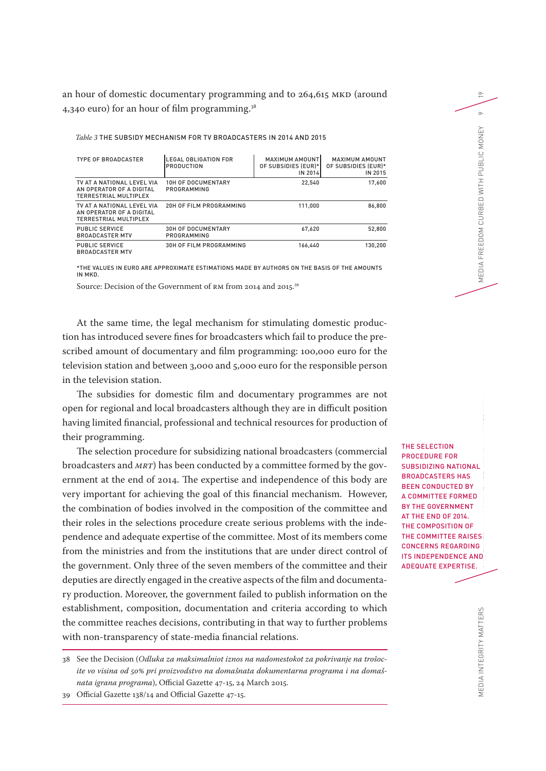an hour of domestic documentary programming and to 264,615 MKD (around 4,340 euro) for an hour of film programming.38

*Table 3* THE SUBSIDY MECHANISM FOR TV BROADCASTERS IN 2014 AND 2015

| <b>TYPE OF BROADCASTER</b>                                                             | <b>LEGAL OBLIGATION FOR</b><br><b>PRODUCTION</b> | <b>MAXIMUM AMOUNT</b><br>OF SUBSIDIES (EUR)*<br>IN 2014 | <b>MAXIMUM AMOUNT</b><br>OF SUBSIDIES (EUR)*<br>IN 2015 |  |
|----------------------------------------------------------------------------------------|--------------------------------------------------|---------------------------------------------------------|---------------------------------------------------------|--|
| TV AT A NATIONAL LEVEL VIA<br>AN OPERATOR OF A DIGITAL<br><b>TERRESTRIAL MULTIPLEX</b> | <b>10H OF DOCUMENTARY</b><br>PROGRAMMING         | 22.540                                                  | 17.600                                                  |  |
| TV AT A NATIONAL LEVEL VIA<br>AN OPERATOR OF A DIGITAL<br>TERRESTRIAL MULTIPLEX        | 20H OF FILM PROGRAMMING                          | 111.000                                                 | 86.800                                                  |  |
| <b>PUBLIC SERVICE</b><br><b>BROADCASTER MTV</b>                                        | <b>30H OF DOCUMENTARY</b><br>PROGRAMMING         | 67,620                                                  | 52.800                                                  |  |
| <b>PUBLIC SERVICE</b><br><b>BROADCASTER MTV</b>                                        | 30H OF FILM PROGRAMMING                          | 166.440                                                 | 130.200                                                 |  |

\*THE VALUES IN EURO ARE APPROXIMATE ESTIMATIONS MADE BY AUTHORS ON THE BASIS OF THE AMOUNTS IN MKD.

Source: Decision of the Government of RM from 2014 and 2015.39

At the same time, the legal mechanism for stimulating domestic production has introduced severe fines for broadcasters which fail to produce the prescribed amount of documentary and film programming: 100,000 euro for the television station and between 3,000 and 5,000 euro for the responsible person in the television station.

The subsidies for domestic film and documentary programmes are not open for regional and local broadcasters although they are in difficult position having limited financial, professional and technical resources for production of their programming.

The selection procedure for subsidizing national broadcasters (commercial broadcasters and *MRT*) has been conducted by a committee formed by the government at the end of 2014. The expertise and independence of this body are very important for achieving the goal of this financial mechanism. However, the combination of bodies involved in the composition of the committee and their roles in the selections procedure create serious problems with the independence and adequate expertise of the committee. Most of its members come from the ministries and from the institutions that are under direct control of the government. Only three of the seven members of the committee and their deputies are directly engaged in the creative aspects of the film and documentary production. Moreover, the government failed to publish information on the establishment, composition, documentation and criteria according to which the committee reaches decisions, contributing in that way to further problems with non-transparency of state-media financial relations.

38 See the Decision (*Odluka za maksimalniot iznos na nadomestokot za pokrivanje na trošocite vo visina od 50% pri proizvodstvo na domašnata dokumentarna programa i na domašnata igrana programa*), Official Gazette 47-15, 24 March 2015.

39 Official Gazette 138/14 and Official Gazette 47-15.

MEDIA INTEGRITY MATTERS STATERS STATERS STATERS STATERS IN MACHINE RELATIONS IN MEDIA FREEDOM CURBED WITH PUBLIC MONEY 9 THE SELECTION PROCEDURE FOR SUBSIDIZING NATIONAL BROADCASTERS HAS BEEN CONDUCTED BY A COMMITTEE FORMED BY THE GOVERNMENT AT THE END OF 2014. THE COMPOSITION OF THE COMMITTEE RAISES CONCERNS REGARDING ITS INDEPENDENCE AND ADEQUATE EXPERTISE.

19

 $\circ$  $\widetilde{\Xi}$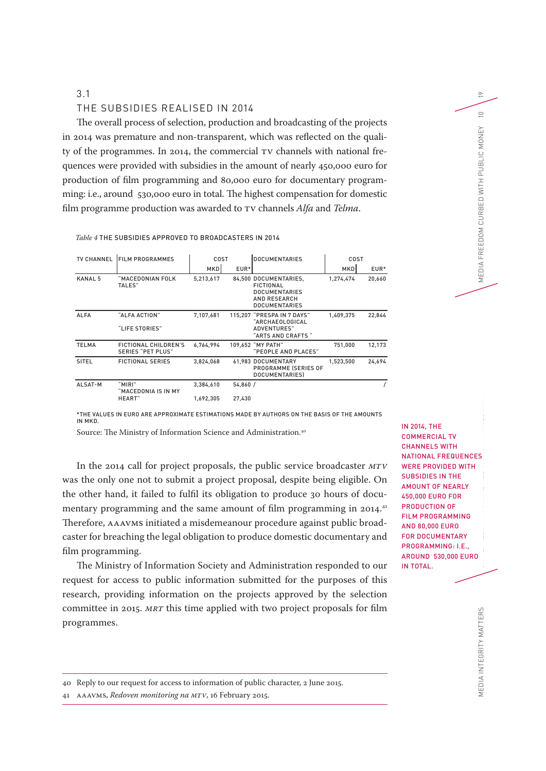#### 3.1

#### THE SUBSIDIES REALISED IN 2014

The overall process of selection, production and broadcasting of the projects in 2014 was premature and non-transparent, which was reflected on the quality of the programmes. In 2014, the commercial TV channels with national frequences were provided with subsidies in the amount of nearly 450,000 euro for production of film programming and 80,000 euro for documentary programming: i.e., around 530,000 euro in total. The highest compensation for domestic film programme production was awarded to TV channels *Alfa* and *Telma*.

*Table 4* THE SUBSIDIES APPROVED TO BROADCASTERS IN 2014

| <b>TV CHANNEL</b> | <b>FILM PROGRAMMES</b>                           | COST      |         | <b>DOCUMENTARIES</b>                                                                                      | COST       |        |
|-------------------|--------------------------------------------------|-----------|---------|-----------------------------------------------------------------------------------------------------------|------------|--------|
|                   |                                                  | MKDI      | EUR*    |                                                                                                           | <b>MKD</b> | EUR*   |
| <b>KANAL 5</b>    | "MACEDONIAN FOLK<br>TALES"                       | 5.213.617 |         | 84,500 DOCUMENTARIES.<br>FICTIONAL<br><b>DOCUMENTARIES</b><br><b>AND RESEARCH</b><br><b>DOCUMENTARIES</b> | 1,274,474  | 20,660 |
| <b>ALFA</b>       | "ALFA ACTION"<br>"LIFE STORIES"                  | 7,107,681 |         | 115,207 "PRESPA IN 7 DAYS"<br>"ARCHAEOLOGICAL<br><b>ADVENTURES"</b><br>"ARTS AND CRAFTS"                  | 1,409,375  | 22,844 |
| <b>TELMA</b>      | FICTIONAL CHILDREN'S<br><b>SERIES "PET PLUS"</b> | 6,764,994 |         | 109.652 "MY PATH"<br>"PEOPLE AND PLACES"                                                                  | 751.000    | 12,173 |
| SITEL             | <b>FICTIONAL SERIES</b>                          | 3,824,068 |         | 61,983 DOCUMENTARY<br>PROGRAMME (SERIES OF<br><b>DOCUMENTARIESI</b>                                       | 1,523,500  | 24,694 |
| ALSAT-M           | "MIRI"<br>"MACEDONIA IS IN MY                    | 3,384,610 | 54,860/ |                                                                                                           |            |        |
|                   | HEART"                                           | 1.692.305 | 27.430  |                                                                                                           |            |        |

\*THE VALUES IN EURO ARE APPROXIMATE ESTIMATIONS MADE BY AUTHORS ON THE BASIS OF THE AMOUNTS IN MKD.

Source: The Ministry of Information Science and Administration.40

In the 2014 call for project proposals, the public service broadcaster *MTV* was the only one not to submit a project proposal, despite being eligible. On the other hand, it failed to fulfil its obligation to produce 30 hours of documentary programming and the same amount of film programming in 2014.<sup>41</sup> Therefore, AAAVMS initiated a misdemeanour procedure against public broadcaster for breaching the legal obligation to produce domestic documentary and film programming.

The Ministry of Information Society and Administration responded to our request for access to public information submitted for the purposes of this research, providing information on the projects approved by the selection committee in 2015. *MRT* this time applied with two project proposals for film programmes.

MEDIA INTEGRITY MATTERS STATE-MEDIA FINANCIAL RELATIONS IN MACEDONICURBED IN MEDIA NERREGONICURBED WITH PUBLIC MONEY 10 IN 2014, THE COMMERCIAL TV CHANNELS WITH NATIONAL FREQUENCES WERE PROVIDED WITH SUBSIDIES IN THE AMOUNT OF NEARLY 450,000 EURO FOR PRODUCTION OF FILM PROGRAMMING AND 80,000 EURO FOR DOCUMENTARY PROGRAMMING: I.E., AROUND 530,000 EURO IN TOTAL.

19

 $\supseteq$ 

MEDIA FREEDOM CURBED WITH PUBLIC MONEY

41 AAAVMS, *Redoven monitoring na MTV*, 16 February 2015.

<sup>40</sup> Reply to our request for access to information of public character, 2 June 2015.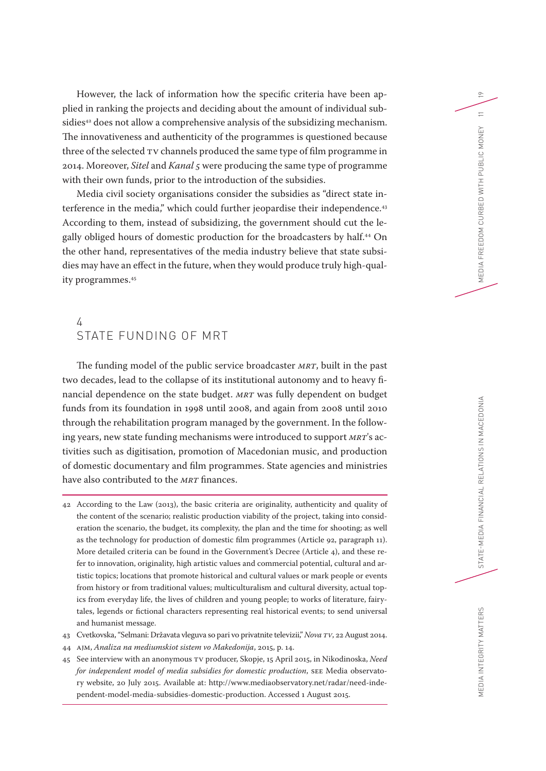However, the lack of information how the specific criteria have been applied in ranking the projects and deciding about the amount of individual subsidies<sup>42</sup> does not allow a comprehensive analysis of the subsidizing mechanism. The innovativeness and authenticity of the programmes is questioned because three of the selected TV channels produced the same type of film programme in 2014. Moreover, *Sitel* and *Kanal 5* were producing the same type of programme with their own funds, prior to the introduction of the subsidies.

Media civil society organisations consider the subsidies as "direct state interference in the media," which could further jeopardise their independence.<sup>43</sup> According to them, instead of subsidizing, the government should cut the legally obliged hours of domestic production for the broadcasters by half.44 On the other hand, representatives of the media industry believe that state subsidies may have an effect in the future, when they would produce truly high-quality programmes.45

## 4 STATE FUNDING OF MRT

The funding model of the public service broadcaster *MRT*, built in the past two decades, lead to the collapse of its institutional autonomy and to heavy financial dependence on the state budget. *MRT* was fully dependent on budget funds from its foundation in 1998 until 2008, and again from 2008 until 2010 through the rehabilitation program managed by the government. In the following years, new state funding mechanisms were introduced to support *MRT*'s activities such as digitisation, promotion of Macedonian music, and production of domestic documentary and film programmes. State agencies and ministries have also contributed to the *MRT* finances.

42 According to the Law (2013), the basic criteria are originality, authenticity and quality of the content of the scenario; realistic production viability of the project, taking into consideration the scenario, the budget, its complexity, the plan and the time for shooting; as well as the technology for production of domestic film programmes (Article 92, paragraph 11). More detailed criteria can be found in the Government's Decree (Article 4), and these refer to innovation, originality, high artistic values and commercial potential, cultural and artistic topics; locations that promote historical and cultural values or mark people or events from history or from traditional values; multiculturalism and cultural diversity, actual topics from everyday life, the lives of children and young people; to works of literature, fairytales, legends or fictional characters representing real historical events; to send universal and humanist message.

- 43 Cvetkovska, "Selmani: Državata vleguva so pari vo privatnite televizii," *Nova TV*, 22 August 2014.
- 44 AJM, *Analiza na mediumskiot sistem vo Makedonija*, 2015, p. 14.
- 45 See interview with an anonymous TV producer, Skopje, 15 April 2015, in Nikodinoska, *Need for independent model of media subsidies for domestic production*, SEE Media observatory website, 20 July 2015. Available at: http://www.mediaobservatory.net/radar/need-independent-model-media-subsidies-domestic-production. Accessed 1 August 2015.

19

 $\equiv$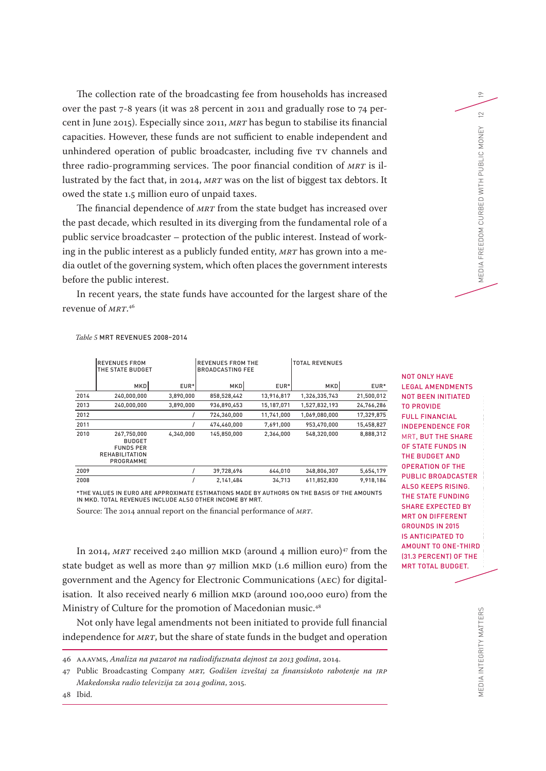The collection rate of the broadcasting fee from households has increased over the past 7-8 years (it was 28 percent in 2011 and gradually rose to 74 percent in June 2015). Especially since 2011, *MRT* has begun to stabilise its financial capacities. However, these funds are not sufficient to enable independent and unhindered operation of public broadcaster, including five TV channels and three radio-programming services. The poor financial condition of *MRT* is illustrated by the fact that, in 2014, *MRT* was on the list of biggest tax debtors. It owed the state 1.5 million euro of unpaid taxes.

The financial dependence of *MRT* from the state budget has increased over the past decade, which resulted in its diverging from the fundamental role of a public service broadcaster – protection of the public interest. Instead of working in the public interest as a publicly funded entity, *MRT* has grown into a media outlet of the governing system, which often places the government interests before the public interest.

In recent years, the state funds have accounted for the largest share of the revenue of *MRT*. 46

|      | <b>REVENUES FROM</b><br>THE STATE BUDGET                                               |           | <b>REVENUES FROM THE</b><br><b>BROADCASTING FEE</b> |            | <b>TOTAL REVENUES</b> |            |
|------|----------------------------------------------------------------------------------------|-----------|-----------------------------------------------------|------------|-----------------------|------------|
|      | <b>MKD</b>                                                                             | EUR*      | <b>MKD</b>                                          | EUR*       | MKD                   | EUR*       |
| 2014 | 240,000,000                                                                            | 3,890,000 | 858,528,442                                         | 13,916,817 | 1,326,335,743         | 21,500,012 |
| 2013 | 240,000,000                                                                            | 3,890,000 | 936,890,453                                         | 15,187,071 | 1,527,832,193         | 24,766,286 |
| 2012 |                                                                                        |           | 724,360,000                                         | 11,741,000 | 1,069,080,000         | 17,329,875 |
| 2011 |                                                                                        |           | 474,460,000                                         | 7,691,000  | 953,470,000           | 15,458,827 |
| 2010 | 267.750.000<br><b>BUDGET</b><br><b>FUNDS PER</b><br><b>REHABILITATION</b><br>PROGRAMME | 4.340.000 | 145,850,000                                         | 2,364,000  | 548,320,000           | 8,888,312  |
| 2009 |                                                                                        |           | 39,728,696                                          | 644,010    | 348,806,307           | 5,654,179  |
| 2008 |                                                                                        |           | 2,141,484                                           | 34,713     | 611,852,830           | 9,918,184  |

#### *Table 5* MRT REVENUES 2008–2014

\*THE VALUES IN EURO ARE APPROXIMATE ESTIMATIONS MADE BY AUTHORS ON THE BASIS OF THE AMOUNTS IN MKD. TOTAL REVENUES INCLUDE ALSO OTHER INCOME BY MRT.

Source: The 2014 annual report on the financial performance of *MRT*.

In 2014, *MRT* received 240 million MKD (around 4 million euro)<sup>47</sup> from the state budget as well as more than 97 million MKD (1.6 million euro) from the government and the Agency for Electronic Communications (AEC) for digitalisation. It also received nearly 6 million MKD (around 100,000 euro) from the Ministry of Culture for the promotion of Macedonian music.<sup>48</sup>

Not only have legal amendments not been initiated to provide full financial independence for *MRT*, but the share of state funds in the budget and operation

46 AAAVMS, *Analiza na pazarot na radiodifuznata dejnost za 2013 godina*, 2014.

47 Public Broadcasting Company *MRT, Godišen izveštaj za finansiskoto rabotenje na JRP Makedonska radio televizija za 2014 godina*, 2015.

MEDIA INTEGRITY MATTERS STATE-MEDIA FINANCIAL RELATIONS IN MACEDONIA FREEDOM CURBED WITH PUBLIC MONEY 12 NANCIAL RELATIONS IN MACHEDONIA FREEDOM CURBED WITH PUBLIC MONEY 12 NANCIA FREEDOM CURBED WITH PUBLIC MONEY 12 NANCIA NOT ONLY HAVE LEGAL AMENDMENTS NOT BEEN INITIATED TO PROVIDE FULL FINANCIAL INDEPENDENCE FOR MRT, BUT THE SHARE OF STATE FUNDS IN THE BUDGET AND OPERATION OF THE PUBLIC BROADCASTER ALSO KEEPS RISING. THE STATE FUNDING SHARE EXPECTED BY MRT ON DIFFERENT GROUNDS IN 2015 IS ANTICIPATED TO AMOUNT TO ONE-THIRD (31.3 PERCENT) OF THE MRT TOTAL BUDGET.

19

 $\approx$  $\widetilde{\Xi}$ 

MEDIA FREEDOM CURBED WITH PUBLIC MON

48 Ibid.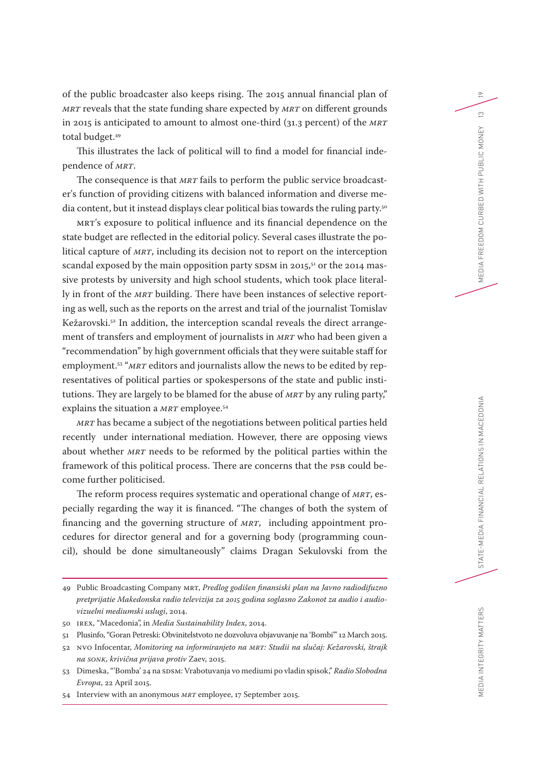of the public broadcaster also keeps rising. The 2015 annual financial plan of *MRT* reveals that the state funding share expected by *MRT* on different grounds in 2015 is anticipated to amount to almost one-third (31.3 percent) of the *MRT* total budget.<sup>49</sup>

This illustrates the lack of political will to find a model for financial independence of *MRT*.

The consequence is that *MRT* fails to perform the public service broadcaster's function of providing citizens with balanced information and diverse media content, but it instead displays clear political bias towards the ruling party.<sup>50</sup>

MRT's exposure to political influence and its financial dependence on the state budget are reflected in the editorial policy. Several cases illustrate the political capture of *MRT*, including its decision not to report on the interception scandal exposed by the main opposition party SDSM in 2015, $51$  or the 2014 massive protests by university and high school students, which took place literally in front of the *MRT* building. There have been instances of selective reporting as well, such as the reports on the arrest and trial of the journalist Tomislav Kežarovski.52 In addition, the interception scandal reveals the direct arrangement of transfers and employment of journalists in *MRT* who had been given a "recommendation" by high government officials that they were suitable staff for employment.53 "*MRT* editors and journalists allow the news to be edited by representatives of political parties or spokespersons of the state and public institutions. They are largely to be blamed for the abuse of *MRT* by any ruling party," explains the situation a *MRT* employee.<sup>54</sup>

*MRT* has became a subject of the negotiations between political parties held recently under international mediation. However, there are opposing views about whether *MRT* needs to be reformed by the political parties within the framework of this political process. There are concerns that the PSB could become further politicised.

The reform process requires systematic and operational change of *MRT*, especially regarding the way it is financed. "The changes of both the system of financing and the governing structure of *MRT*, including appointment procedures for director general and for a governing body (programming council), should be done simultaneously" claims Dragan Sekulovski from the 19

 $\tilde{c}$ 

<sup>49</sup> Public Broadcasting Company MRT, *Predlog godišen finansiski plan na Javno radiodifuzno pretprijatie Makedonska radio televizija za 2015 godina soglasno Zakonot za audio i audiovizuelni mediumski uslugi*, 2014.

<sup>50</sup> IREX, "Macedonia", in *Media Sustainability Index*, 2014.

<sup>51</sup> Plusinfo, "Goran Petreski: Obvinitelstvoto ne dozvoluva objavuvanje na 'Bombi'" 12 March 2015.

<sup>52</sup> NVO Infocentar, *Monitoring na informiranjeto na MRT: Studii na slučaj: Kežarovski, štrajk na SONK, krivična prijava protiv* Zaev, 2015.

<sup>53</sup> Dimeska, "'Bomba' 24 na SDSM: Vrabotuvanja vo mediumi po vladin spisok," *Radio Slobodna Evropa*, 22 April 2015.

<sup>54</sup> Interview with an anonymous *MRT* employee, 17 September 2015.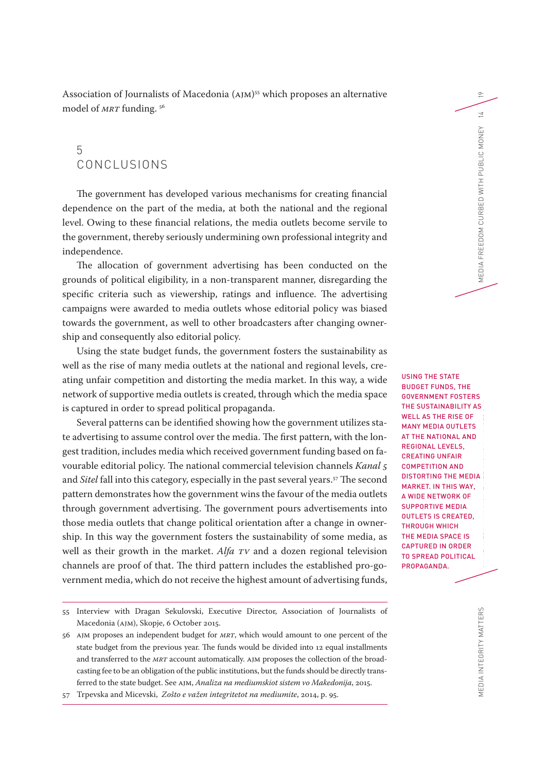19

Association of Journalists of Macedonia (AJM) 55 which proposes an alternative model of *MRT* funding.<sup>56</sup>

## 5 CONCLUSIONS

The government has developed various mechanisms for creating financial dependence on the part of the media, at both the national and the regional level. Owing to these financial relations, the media outlets become servile to the government, thereby seriously undermining own professional integrity and independence.

The allocation of government advertising has been conducted on the grounds of political eligibility, in a non-transparent manner, disregarding the specific criteria such as viewership, ratings and influence. The advertising campaigns were awarded to media outlets whose editorial policy was biased towards the government, as well to other broadcasters after changing ownership and consequently also editorial policy.

Using the state budget funds, the government fosters the sustainability as well as the rise of many media outlets at the national and regional levels, creating unfair competition and distorting the media market. In this way, a wide network of supportive media outlets is created, through which the media space is captured in order to spread political propaganda.

Several patterns can be identified showing how the government utilizes state advertising to assume control over the media. The first pattern, with the longest tradition, includes media which received government funding based on favourable editorial policy. The national commercial television channels *Kanal 5* and *Sitel* fall into this category, especially in the past several years.<sup>57</sup> The second pattern demonstrates how the government wins the favour of the media outlets through government advertising. The government pours advertisements into those media outlets that change political orientation after a change in ownership. In this way the government fosters the sustainability of some media, as well as their growth in the market. *Alfa TV* and a dozen regional television channels are proof of that. The third pattern includes the established pro-government media, which do not receive the highest amount of advertising funds,

MEDIA INTEGRITY MATTERS STATE-MEDIA FINANCIAL RELATIONS IN MACEDONIC DESCRIPCIÓNIA MEDIA FREEDOM CURBED DIVITH PUBLIC MONEY 14 USING THE STATE BUDGET FUNDS, THE GOVERNMENT FOSTERS THE SUSTAINABILITY AS WELL AS THE RISE OF MANY MEDIA OUTLETS AT THE NATIONAL AND REGIONAL LEVELS, CREATING UNFAIR COMPETITION AND DISTORTING THE MEDIA MARKET. IN THIS WAY, A WIDE NETWORK OF SUPPORTIVE MEDIA OUTLETS IS CREATED, THROUGH WHICH THE MEDIA SPACE IS CAPTURED IN ORDER TO SPREAD POLITICAL PROPAGANDA.

<sup>55</sup> Interview with Dragan Sekulovski, Executive Director, Association of Journalists of Macedonia (AJM), Skopje, 6 October 2015.

<sup>56</sup> AJM proposes an independent budget for *MRT*, which would amount to one percent of the state budget from the previous year. The funds would be divided into 12 equal installments and transferred to the *MRT* account automatically. AJM proposes the collection of the broadcasting fee to be an obligation of the public institutions, but the funds should be directly transferred to the state budget. See AJM, *Analiza na mediumskiot sistem vo Makedonija*, 2015.

<sup>57</sup> Trpevska and Micevski, *Zošto e važen integritetot na mediumite*, 2014, p. 95.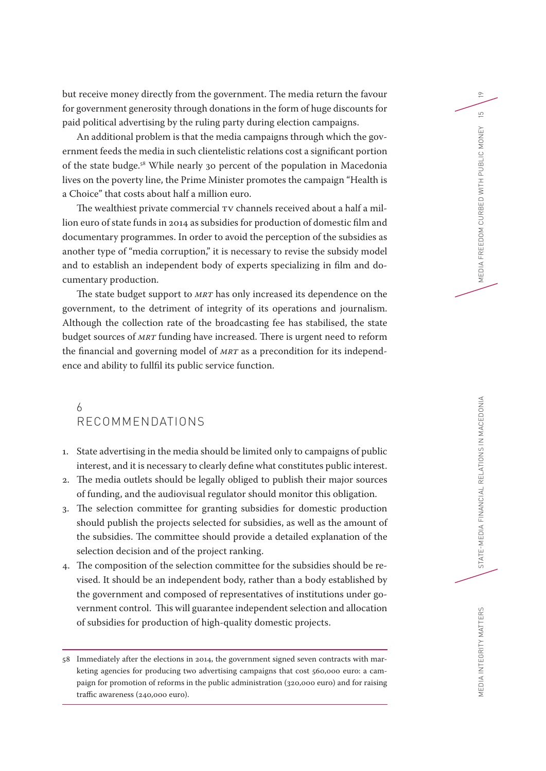but receive money directly from the government. The media return the favour for government generosity through donations in the form of huge discounts for paid political advertising by the ruling party during election campaigns.

An additional problem is that the media campaigns through which the government feeds the media in such clientelistic relations cost a significant portion of the state budge.58 While nearly 30 percent of the population in Macedonia lives on the poverty line, the Prime Minister promotes the campaign "Health is a Choice" that costs about half a million euro.

The wealthiest private commercial TV channels received about a half a million euro of state funds in 2014 as subsidies for production of domestic film and documentary programmes. In order to avoid the perception of the subsidies as another type of "media corruption," it is necessary to revise the subsidy model and to establish an independent body of experts specializing in film and documentary production.

The state budget support to *MRT* has only increased its dependence on the government, to the detriment of integrity of its operations and journalism. Although the collection rate of the broadcasting fee has stabilised, the state budget sources of *MRT* funding have increased. There is urgent need to reform the financial and governing model of *MRT* as a precondition for its independence and ability to fullfil its public service function.

## 6 RECOMMENDATIONS

- 1. State advertising in the media should be limited only to campaigns of public interest, and it is necessary to clearly define what constitutes public interest.
- 2. The media outlets should be legally obliged to publish their major sources of funding, and the audiovisual regulator should monitor this obligation.
- 3. The selection committee for granting subsidies for domestic production should publish the projects selected for subsidies, as well as the amount of the subsidies. The committee should provide a detailed explanation of the selection decision and of the project ranking.
- 4. The composition of the selection committee for the subsidies should be revised. It should be an independent body, rather than a body established by the government and composed of representatives of institutions under government control. This will guarantee independent selection and allocation of subsidies for production of high-quality domestic projects.

19

 $\overline{5}$ 

<sup>58</sup> Immediately after the elections in 2014, the government signed seven contracts with marketing agencies for producing two advertising campaigns that cost 560,000 euro: a campaign for promotion of reforms in the public administration (320,000 euro) and for raising traffic awareness (240,000 euro).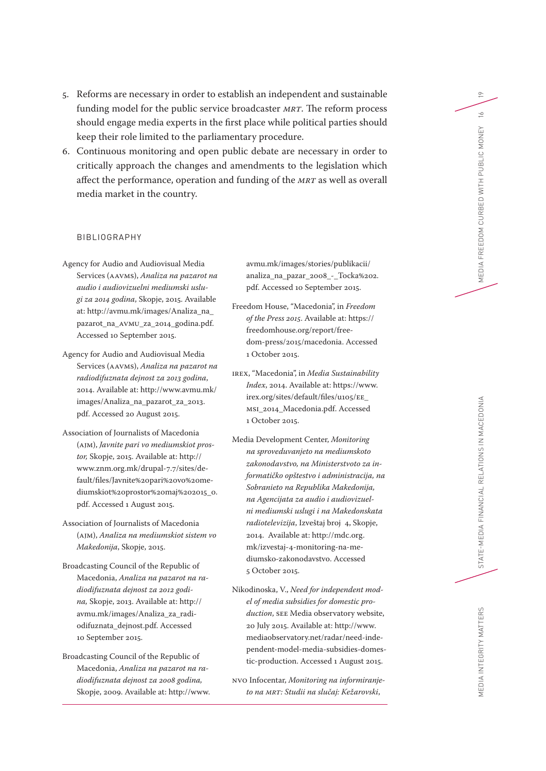- 5. Reforms are necessary in order to establish an independent and sustainable funding model for the public service broadcaster *MRT*. The reform process should engage media experts in the first place while political parties should keep their role limited to the parliamentary procedure.
- 6. Continuous monitoring and open public debate are necessary in order to critically approach the changes and amendments to the legislation which affect the performance, operation and funding of the *MRT* as well as overall media market in the country.

#### BIBLIOGRAPHY

- Agency for Audio and Audiovisual Media Services (AAVMS), *Analiza na pazarot na audio i audiovizuelni mediumski uslugi za 2014 godina*, Skopje, 2015. Available at: http://avmu.mk/images/Analiza\_na\_ pazarot\_na\_AVMU\_za\_2014\_godina.pdf. Accessed 10 September 2015.
- Agency for Audio and Audiovisual Media Services (AAVMS), *Analiza na pazarot na radiodifuznata dejnost za 2013 godina*, 2014. Available at: http://www.avmu.mk/ images/Analiza\_na\_pazarot\_za\_2013. pdf. Accessed 20 August 2015.
- Association of Journalists of Macedonia (AJM), *Javnite pari vo mediumskiot prostor,* Skopje, 2015. Available at: http:// www.znm.org.mk/drupal-7.7/sites/default/files/Javnite%20pari%20vo%20mediumskiot%20prostor%20maj%202015\_0. pdf. Accessed 1 August 2015.
- Association of Journalists of Macedonia (AJM), *Analiza na mediumskiot sistem vo Makedonija*, Skopje, 2015.
- Broadcasting Council of the Republic of Macedonia, *Analiza na pazarot na radiodifuznata dejnost za 2012 godina,* Skopje, 2013. Available at: http:// avmu.mk/images/Analiza\_za\_radiodifuznata\_dejnost.pdf. Accessed 10 September 2015.
- Broadcasting Council of the Republic of Macedonia, *Analiza na pazarot na radiodifuznata dejnost za 2008 godina,*  Skopje, 2009. Available at: http://www.

avmu.mk/images/stories/publikacii/ analiza\_na\_pazar\_2008\_-\_Tocka%202. pdf. Accessed 10 September 2015.

- Freedom House, "Macedonia", in *Freedom of the Press 2015*. Available at: https:// freedomhouse.org/report/freedom-press/2015/macedonia. Accessed 1 October 2015.
- IREX, "Macedonia", in *Media Sustainability Index*, 2014. Available at: https://www. irex.org/sites/default/files/u105/EE\_ MSI\_2014\_Macedonia.pdf. Accessed 1 October 2015.
- Media Development Center, *Monitoring na sproveduvanjeto na mediumskoto zakonodavstvo, na Ministerstvoto za informatičko opštestvo i administracija, na Sobranieto na Republika Makedonija, na Agencijata za audio i audiovizuelni mediumski uslugi i na Makedonskata radiotelevizija*, Izveštaj broj 4, Skopje, 2014. Available at: http://mdc.org. mk/izvestaj-4-monitoring-na-mediumsko-zakonodavstvo. Accessed 5 October 2015.
- Nikodinoska, V., *Need for independent model of media subsidies for domestic production*, SEE Media observatory website, 20 July 2015. Available at: http://www. mediaobservatory.net/radar/need-independent-model-media-subsidies-domestic-production. Accessed 1 August 2015.
- NVO Infocentar, *Monitoring na informiranjeto na MRT: Studii na slučaj: Kežarovski*,

19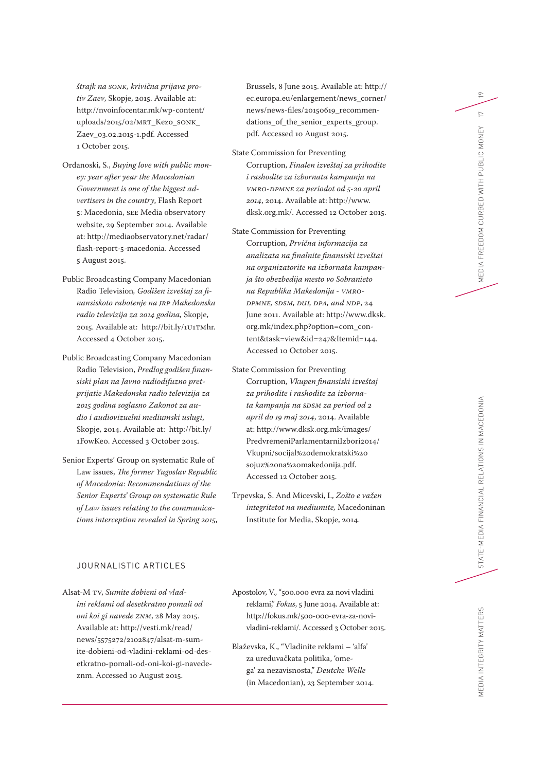*štrajk na SONK, krivična prijava protiv Zaev*, Skopje, 2015. Available at: http://nvoinfocentar.mk/wp-content/ uploads/2015/02/MRT\_Kezo\_SONK\_ Zaev\_03.02.2015-1.pdf. Accessed 1 October 2015.

- Ordanoski, S., *Buying love with public money: year after year the Macedonian Government is one of the biggest advertisers in the country*, Flash Report 5: Macedonia, SEE Media observatory website, 29 September 2014. Available at: http://mediaobservatory.net/radar/ flash-report-5-macedonia. Accessed 5 August 2015.
- Public Broadcasting Company Macedonian Radio Television*, Godišen izveštaj za finansiskoto rabotenje na JRP Makedonska radio televizija za 2014 godina,* Skopje, 2015. Available at: http://bit.ly/1U1TMhr. Accessed 4 October 2015.
- Public Broadcasting Company Macedonian Radio Television, *Predlog godišen finansiski plan na Javno radiodifuzno pretprijatie Makedonska radio televizija za 2015 godina soglasno Zakonot za audio i audiovizuelni mediumski uslugi*, Skopje, 2014. Available at: http://bit.ly/ 1FowKe0. Accessed 3 October 2015.
- Senior Experts' Group on systematic Rule of Law issues, *The former Yugoslav Republic of Macedonia: Recommendations of the Senior Experts' Group on systematic Rule of Law issues relating to the communications interception revealed in Spring 2015*,

#### JOURNALISTIC ARTICLES

Alsat-M TV, *Sumite dobieni od vladini reklami od desetkratno pomali od oni koi gi navede ZNM*, 28 May 2015. Available at: http://vesti.mk/read/ news/5575272/2102847/alsat-m-sumite-dobieni-od-vladini-reklami-od-desetkratno-pomali-od-oni-koi-gi-navedeznm. Accessed 10 August 2015.

Brussels, 8 June 2015. Available at: http:// ec.europa.eu/enlargement/news\_corner/ news/news-files/20150619\_recommendations\_of\_the\_senior\_experts\_group. pdf. Accessed 10 August 2015.

- State Commission for Preventing Corruption, *Finalen izveštaj za prihodite i rashodite za izbornata kampanja na VMRO-DPMNE za periodot od 5-20 april 2014*, 2014. Available at: http://www. dksk.org.mk/. Accessed 12 October 2015.
- State Commission for Preventing Corruption, *Prvična informacija za analizata na finalnite finansiski izveštai na organizatorite na izbornata kampanja što obezbedija mesto vo Sobranieto na Republika Makedonija - VMRO-DPMNE, SDSM, DUI, DPA, and NDP*, 24 June 2011. Available at: http://www.dksk. org.mk/index.php?option=com\_content&task=view&id=247&Itemid=144. Accessed 10 October 2015.
- State Commission for Preventing Corruption, *Vkupen finansiski izveštaj za prihodite i rashodite za izbornata kampanja na SDSM za period od 2 april do 19 maj 2014*, 2014. Available at: http://www.dksk.org.mk/images/ PredvremeniParlamentarniIzbori2014/ Vkupni/socijal%20demokratski%20 sojuz%20na%20makedonija.pdf. Accessed 12 October 2015.
- Trpevska, S. And Micevski, I., *Zošto e važen integritetot na mediumite,* Macedoninan Institute for Media, Skopje, 2014.
- Apostolov, V., "500.000 evra za novi vladini reklami," *Fokus*, 5 June 2014. Available at: http://fokus.mk/500-000-evra-za-novivladini-reklami/. Accessed 3 October 2015.
- Blaževska, K., "Vladinite reklami 'alfa' za ureduvačkata politika, 'omega' za nezavisnosta," *Deutche Welle* (in Macedonian), 23 September 2014.

MEDIA INTEGRITY MATTERS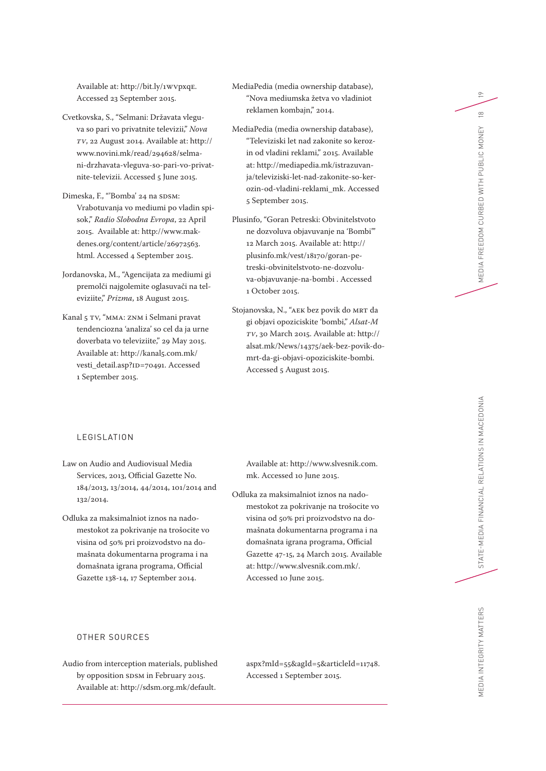Available at: http://bit.ly/1WVpxqE. Accessed 23 September 2015.

- Cvetkovska, S., "Selmani: Državata vleguva so pari vo privatnite televizii," *Nova TV*, 22 August 2014. Available at: http:// www.novini.mk/read/294628/selmani-drzhavata-vleguva-so-pari-vo-privatnite-televizii. Accessed 5 June 2015.
- Dimeska, F., "'Bomba' 24 na SDSM: Vrabotuvanja vo mediumi po vladin spisok," *Radio Slobodna Evropa*, 22 April 2015. Available at: http://www.makdenes.org/content/article/26972563. html. Accessed 4 September 2015.
- Jordanovska, M., "Agencijata za mediumi gi premolči najgolemite oglasuvači na televiziite," *Prizma*, 18 August 2015.
- Kanal 5 TV, "MMA: ZNM i Selmani pravat tendenciozna 'analiza' so cel da ja urne doverbata vo televiziite," 29 May 2015. Available at: http://kanal5.com.mk/ vesti\_detail.asp?ID=70491. Accessed 1 September 2015.
- MediaPedia (media ownership database), "Nova mediumska žetva vo vladiniot reklamen kombajn," 2014.
- MediaPedia (media ownership database), "Televiziski let nad zakonite so kerozin od vladini reklami," 2015. Available at: http://mediapedia.mk/istrazuvanja/televiziski-let-nad-zakonite-so-kerozin-od-vladini-reklami\_mk. Accessed 5 September 2015.
- Plusinfo, "Goran Petreski: Obvinitelstvoto ne dozvoluva objavuvanje na 'Bombi'" 12 March 2015. Available at: http:// plusinfo.mk/vest/18170/goran-petreski-obvinitelstvoto-ne-dozvoluva-objavuvanje-na-bombi . Accessed 1 October 2015.
- Stojanovska, N., "AEK bez povik do MRT da gi objavi opoziciskite 'bombi," *Alsat-M TV*, 30 March 2015. Available at: http:// alsat.mk/News/14375/aek-bez-povik-domrt-da-gi-objavi-opoziciskite-bombi. Accessed 5 August 2015.

#### LEGISLATION

- Law on Audio and Audiovisual Media Services, 2013, Official Gazette No. 184/2013, 13/2014, 44/2014, 101/2014 and 132/2014.
- Odluka za maksimalniot iznos na nadomestokot za pokrivanje na trošocite vo visina od 50% pri proizvodstvo na domašnata dokumentarna programa i na domašnata igrana programa, Official Gazette 138-14, 17 September 2014.

Available at: http://www.slvesnik.com. mk. Accessed 10 June 2015.

Odluka za maksimalniot iznos na nadomestokot za pokrivanje na trošocite vo visina od 50% pri proizvodstvo na domašnata dokumentarna programa i na domašnata igrana programa, Official Gazette 47-15, 24 March 2015. Available at: http://www.slvesnik.com.mk/. Accessed 10 June 2015.

Audio from interception materials, published by opposition SDSM in February 2015. Available at: http://sdsm.org.mk/default.

aspx?mId=55&agId=5&articleId=11748. Accessed 1 September 2015.

 $\overline{P}$ 

 $\frac{\infty}{2}$